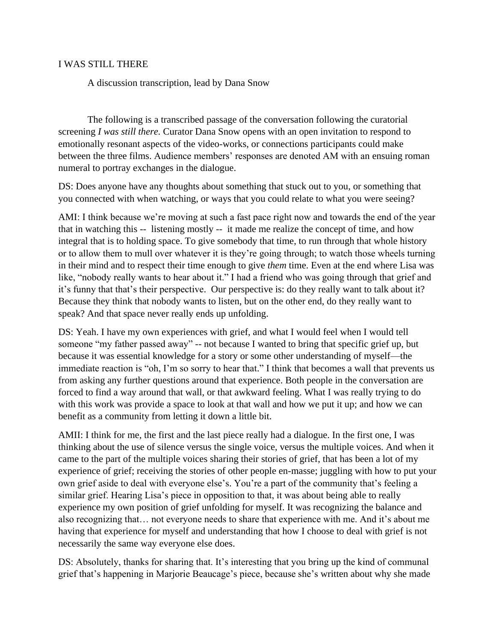## I WAS STILL THERE

A discussion transcription, lead by Dana Snow

The following is a transcribed passage of the conversation following the curatorial screening *I was still there.* Curator Dana Snow opens with an open invitation to respond to emotionally resonant aspects of the video-works, or connections participants could make between the three films. Audience members' responses are denoted AM with an ensuing roman numeral to portray exchanges in the dialogue.

DS: Does anyone have any thoughts about something that stuck out to you, or something that you connected with when watching, or ways that you could relate to what you were seeing?

AMI: I think because we're moving at such a fast pace right now and towards the end of the year that in watching this -- listening mostly -- it made me realize the concept of time, and how integral that is to holding space. To give somebody that time, to run through that whole history or to allow them to mull over whatever it is they're going through; to watch those wheels turning in their mind and to respect their time enough to give *them* time. Even at the end where Lisa was like, "nobody really wants to hear about it." I had a friend who was going through that grief and it's funny that that's their perspective. Our perspective is: do they really want to talk about it? Because they think that nobody wants to listen, but on the other end, do they really want to speak? And that space never really ends up unfolding.

DS: Yeah. I have my own experiences with grief, and what I would feel when I would tell someone "my father passed away" -- not because I wanted to bring that specific grief up, but because it was essential knowledge for a story or some other understanding of myself—the immediate reaction is "oh, I'm so sorry to hear that." I think that becomes a wall that prevents us from asking any further questions around that experience. Both people in the conversation are forced to find a way around that wall, or that awkward feeling. What I was really trying to do with this work was provide a space to look at that wall and how we put it up; and how we can benefit as a community from letting it down a little bit.

AMII: I think for me, the first and the last piece really had a dialogue. In the first one, I was thinking about the use of silence versus the single voice, versus the multiple voices. And when it came to the part of the multiple voices sharing their stories of grief, that has been a lot of my experience of grief; receiving the stories of other people en-masse; juggling with how to put your own grief aside to deal with everyone else's. You're a part of the community that's feeling a similar grief. Hearing Lisa's piece in opposition to that, it was about being able to really experience my own position of grief unfolding for myself. It was recognizing the balance and also recognizing that… not everyone needs to share that experience with me. And it's about me having that experience for myself and understanding that how I choose to deal with grief is not necessarily the same way everyone else does.

DS: Absolutely, thanks for sharing that. It's interesting that you bring up the kind of communal grief that's happening in Marjorie Beaucage's piece, because she's written about why she made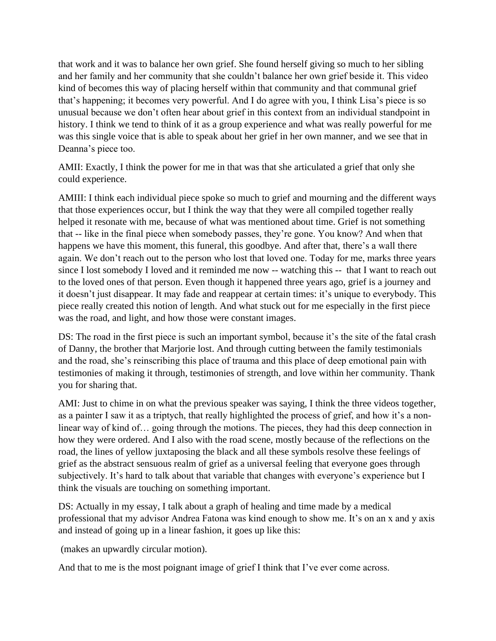that work and it was to balance her own grief. She found herself giving so much to her sibling and her family and her community that she couldn't balance her own grief beside it. This video kind of becomes this way of placing herself within that community and that communal grief that's happening; it becomes very powerful. And I do agree with you, I think Lisa's piece is so unusual because we don't often hear about grief in this context from an individual standpoint in history. I think we tend to think of it as a group experience and what was really powerful for me was this single voice that is able to speak about her grief in her own manner, and we see that in Deanna's piece too.

AMII: Exactly, I think the power for me in that was that she articulated a grief that only she could experience.

AMIII: I think each individual piece spoke so much to grief and mourning and the different ways that those experiences occur, but I think the way that they were all compiled together really helped it resonate with me, because of what was mentioned about time. Grief is not something that -- like in the final piece when somebody passes, they're gone. You know? And when that happens we have this moment, this funeral, this goodbye. And after that, there's a wall there again. We don't reach out to the person who lost that loved one. Today for me, marks three years since I lost somebody I loved and it reminded me now -- watching this -- that I want to reach out to the loved ones of that person. Even though it happened three years ago, grief is a journey and it doesn't just disappear. It may fade and reappear at certain times: it's unique to everybody. This piece really created this notion of length. And what stuck out for me especially in the first piece was the road, and light, and how those were constant images.

DS: The road in the first piece is such an important symbol, because it's the site of the fatal crash of Danny, the brother that Marjorie lost. And through cutting between the family testimonials and the road, she's reinscribing this place of trauma and this place of deep emotional pain with testimonies of making it through, testimonies of strength, and love within her community. Thank you for sharing that.

AMI: Just to chime in on what the previous speaker was saying, I think the three videos together, as a painter I saw it as a triptych, that really highlighted the process of grief, and how it's a nonlinear way of kind of… going through the motions. The pieces, they had this deep connection in how they were ordered. And I also with the road scene, mostly because of the reflections on the road, the lines of yellow juxtaposing the black and all these symbols resolve these feelings of grief as the abstract sensuous realm of grief as a universal feeling that everyone goes through subjectively. It's hard to talk about that variable that changes with everyone's experience but I think the visuals are touching on something important.

DS: Actually in my essay, I talk about a graph of healing and time made by a medical professional that my advisor Andrea Fatona was kind enough to show me. It's on an x and y axis and instead of going up in a linear fashion, it goes up like this:

(makes an upwardly circular motion).

And that to me is the most poignant image of grief I think that I've ever come across.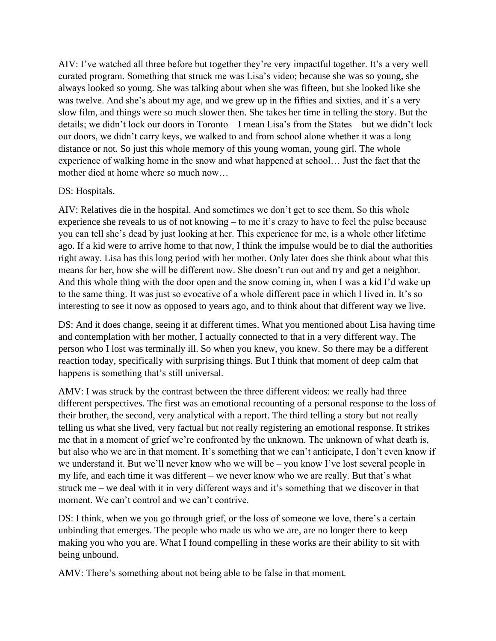AIV: I've watched all three before but together they're very impactful together. It's a very well curated program. Something that struck me was Lisa's video; because she was so young, she always looked so young. She was talking about when she was fifteen, but she looked like she was twelve. And she's about my age, and we grew up in the fifties and sixties, and it's a very slow film, and things were so much slower then. She takes her time in telling the story. But the details; we didn't lock our doors in Toronto – I mean Lisa's from the States – but we didn't lock our doors, we didn't carry keys, we walked to and from school alone whether it was a long distance or not. So just this whole memory of this young woman, young girl. The whole experience of walking home in the snow and what happened at school… Just the fact that the mother died at home where so much now…

## DS: Hospitals.

AIV: Relatives die in the hospital. And sometimes we don't get to see them. So this whole experience she reveals to us of not knowing – to me it's crazy to have to feel the pulse because you can tell she's dead by just looking at her. This experience for me, is a whole other lifetime ago. If a kid were to arrive home to that now, I think the impulse would be to dial the authorities right away. Lisa has this long period with her mother. Only later does she think about what this means for her, how she will be different now. She doesn't run out and try and get a neighbor. And this whole thing with the door open and the snow coming in, when I was a kid I'd wake up to the same thing. It was just so evocative of a whole different pace in which I lived in. It's so interesting to see it now as opposed to years ago, and to think about that different way we live.

DS: And it does change, seeing it at different times. What you mentioned about Lisa having time and contemplation with her mother, I actually connected to that in a very different way. The person who I lost was terminally ill. So when you knew, you knew. So there may be a different reaction today, specifically with surprising things. But I think that moment of deep calm that happens is something that's still universal.

AMV: I was struck by the contrast between the three different videos: we really had three different perspectives. The first was an emotional recounting of a personal response to the loss of their brother, the second, very analytical with a report. The third telling a story but not really telling us what she lived, very factual but not really registering an emotional response. It strikes me that in a moment of grief we're confronted by the unknown. The unknown of what death is, but also who we are in that moment. It's something that we can't anticipate, I don't even know if we understand it. But we'll never know who we will be – you know I've lost several people in my life, and each time it was different – we never know who we are really. But that's what struck me – we deal with it in very different ways and it's something that we discover in that moment. We can't control and we can't contrive.

DS: I think, when we you go through grief, or the loss of someone we love, there's a certain unbinding that emerges. The people who made us who we are, are no longer there to keep making you who you are. What I found compelling in these works are their ability to sit with being unbound.

AMV: There's something about not being able to be false in that moment.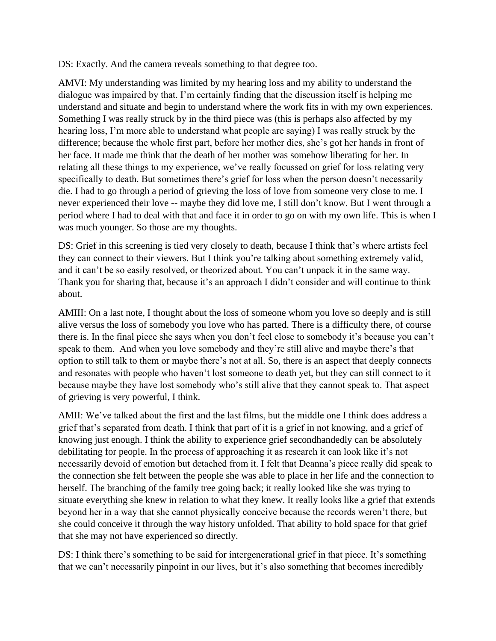DS: Exactly. And the camera reveals something to that degree too.

AMVI: My understanding was limited by my hearing loss and my ability to understand the dialogue was impaired by that. I'm certainly finding that the discussion itself is helping me understand and situate and begin to understand where the work fits in with my own experiences. Something I was really struck by in the third piece was (this is perhaps also affected by my hearing loss, I'm more able to understand what people are saying) I was really struck by the difference; because the whole first part, before her mother dies, she's got her hands in front of her face. It made me think that the death of her mother was somehow liberating for her. In relating all these things to my experience, we've really focussed on grief for loss relating very specifically to death. But sometimes there's grief for loss when the person doesn't necessarily die. I had to go through a period of grieving the loss of love from someone very close to me. I never experienced their love -- maybe they did love me, I still don't know. But I went through a period where I had to deal with that and face it in order to go on with my own life. This is when I was much younger. So those are my thoughts.

DS: Grief in this screening is tied very closely to death, because I think that's where artists feel they can connect to their viewers. But I think you're talking about something extremely valid, and it can't be so easily resolved, or theorized about. You can't unpack it in the same way. Thank you for sharing that, because it's an approach I didn't consider and will continue to think about.

AMIII: On a last note, I thought about the loss of someone whom you love so deeply and is still alive versus the loss of somebody you love who has parted. There is a difficulty there, of course there is. In the final piece she says when you don't feel close to somebody it's because you can't speak to them. And when you love somebody and they're still alive and maybe there's that option to still talk to them or maybe there's not at all. So, there is an aspect that deeply connects and resonates with people who haven't lost someone to death yet, but they can still connect to it because maybe they have lost somebody who's still alive that they cannot speak to. That aspect of grieving is very powerful, I think.

AMII: We've talked about the first and the last films, but the middle one I think does address a grief that's separated from death. I think that part of it is a grief in not knowing, and a grief of knowing just enough. I think the ability to experience grief secondhandedly can be absolutely debilitating for people. In the process of approaching it as research it can look like it's not necessarily devoid of emotion but detached from it. I felt that Deanna's piece really did speak to the connection she felt between the people she was able to place in her life and the connection to herself. The branching of the family tree going back; it really looked like she was trying to situate everything she knew in relation to what they knew. It really looks like a grief that extends beyond her in a way that she cannot physically conceive because the records weren't there, but she could conceive it through the way history unfolded. That ability to hold space for that grief that she may not have experienced so directly.

DS: I think there's something to be said for intergenerational grief in that piece. It's something that we can't necessarily pinpoint in our lives, but it's also something that becomes incredibly